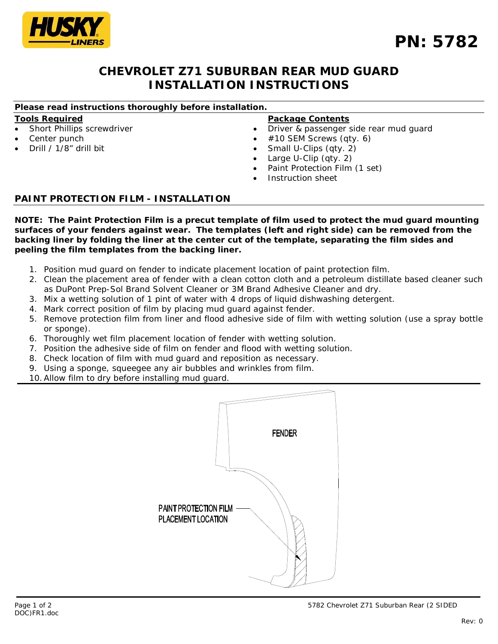DOC)FR1.doc

Rev: 0

# **PN: 5782**

# **CHEVROLET Z71 SUBURBAN REAR MUD GUARD INSTALLATION INSTRUCTIONS**

# *Please read instructions thoroughly before installation.*

## **Tools Required**

- Short Phillips screwdriver
- Center punch
- Drill / 1/8" drill bit

## **Package Contents**

- Driver & passenger side rear mud guard
- #10 SEM Screws (qty. 6)
- Small U-Clips (qty. 2)
- Large U-Clip (qty. 2)
- Paint Protection Film (1 set)
- Instruction sheet

## **PAINT PROTECTION FILM - INSTALLATION**

*NOTE: The Paint Protection Film is a precut template of film used to protect the mud guard mounting surfaces of your fenders against wear. The templates (left and right side) can be removed from the backing liner by folding the liner at the center cut of the template, separating the film sides and peeling the film templates from the backing liner.*

- 1. Position mud guard on fender to indicate placement location of paint protection film.
- 2. Clean the placement area of fender with a clean cotton cloth and a petroleum distillate based cleaner such as DuPont Prep-Sol Brand Solvent Cleaner or 3M Brand Adhesive Cleaner and dry.
- 3. Mix a wetting solution of 1 pint of water with 4 drops of liquid dishwashing detergent.
- 4. Mark correct position of film by placing mud guard against fender.
- 5. Remove protection film from liner and flood adhesive side of film with wetting solution (use a spray bottle or sponge).
- 6. Thoroughly wet film placement location of fender with wetting solution.
- 7. Position the adhesive side of film on fender and flood with wetting solution.
- 8. Check location of film with mud guard and reposition as necessary.
- 9. Using a sponge, squeegee any air bubbles and wrinkles from film.
- 10.Allow film to dry before installing mud guard.